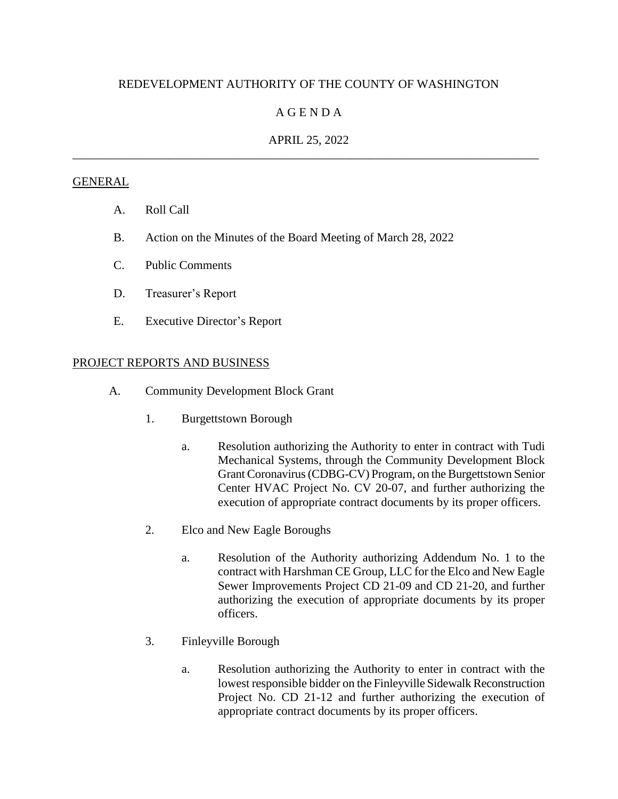# REDEVELOPMENT AUTHORITY OF THE COUNTY OF WASHINGTON

## A G E N D A

## APRIL 25, 2022 \_\_\_\_\_\_\_\_\_\_\_\_\_\_\_\_\_\_\_\_\_\_\_\_\_\_\_\_\_\_\_\_\_\_\_\_\_\_\_\_\_\_\_\_\_\_\_\_\_\_\_\_\_\_\_\_\_\_\_\_\_\_\_\_\_\_\_\_\_\_\_\_\_\_\_\_\_

#### **GENERAL**

- A. Roll Call
- B. Action on the Minutes of the Board Meeting of March 28, 2022
- C. Public Comments
- D. Treasurer's Report
- E. Executive Director's Report

### PROJECT REPORTS AND BUSINESS

- A. Community Development Block Grant
	- 1. Burgettstown Borough
		- a. Resolution authorizing the Authority to enter in contract with Tudi Mechanical Systems, through the Community Development Block Grant Coronavirus (CDBG-CV) Program, on the Burgettstown Senior Center HVAC Project No. CV 20-07, and further authorizing the execution of appropriate contract documents by its proper officers.
	- 2. Elco and New Eagle Boroughs
		- a. Resolution of the Authority authorizing Addendum No. 1 to the contract with Harshman CE Group, LLC for the Elco and New Eagle Sewer Improvements Project CD 21-09 and CD 21-20, and further authorizing the execution of appropriate documents by its proper officers.
	- 3. Finleyville Borough
		- a. Resolution authorizing the Authority to enter in contract with the lowest responsible bidder on the Finleyville Sidewalk Reconstruction Project No. CD 21-12 and further authorizing the execution of appropriate contract documents by its proper officers.